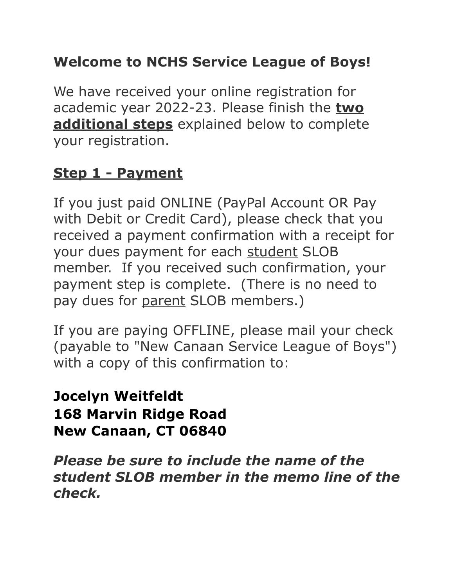# **Welcome to NCHS Service League of Boys!**

We have received your online registration for academic year 2022-23. Please finish the **two additional steps** explained below to complete your registration.

#### **Step 1 - Payment**

If you just paid ONLINE (PayPal Account OR Pay with Debit or Credit Card), please check that you received a payment confirmation with a receipt for your dues payment for each student SLOB member. If you received such confirmation, your payment step is complete. (There is no need to pay dues for parent SLOB members.)

If you are paying OFFLINE, please mail your check (payable to "New Canaan Service League of Boys") with a copy of this confirmation to:

**Jocelyn Weitfeldt 168 Marvin Ridge Road New Canaan, CT 06840**

*Please be sure to include the name of the student SLOB member in the memo line of the check.*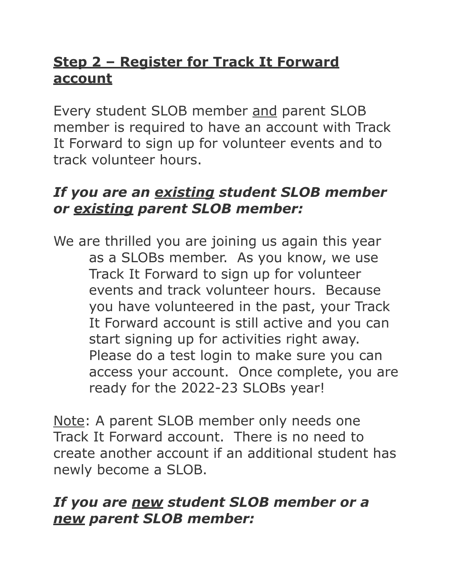## **Step 2 – Register for Track It Forward account**

Every student SLOB member and parent SLOB member is required to have an account with Track It Forward to sign up for volunteer events and to track volunteer hours.

### *If you are an existing student SLOB member or existing parent SLOB member:*

We are thrilled you are joining us again this year as a SLOBs member. As you know, we use Track It Forward to sign up for volunteer events and track volunteer hours. Because you have volunteered in the past, your Track It Forward account is still active and you can start signing up for activities right away. Please do a test login to make sure you can access your account. Once complete, you are ready for the 2022-23 SLOBs year!

Note: A parent SLOB member only needs one Track It Forward account. There is no need to create another account if an additional student has newly become a SLOB.

#### *If you are new student SLOB member or a new parent SLOB member:*